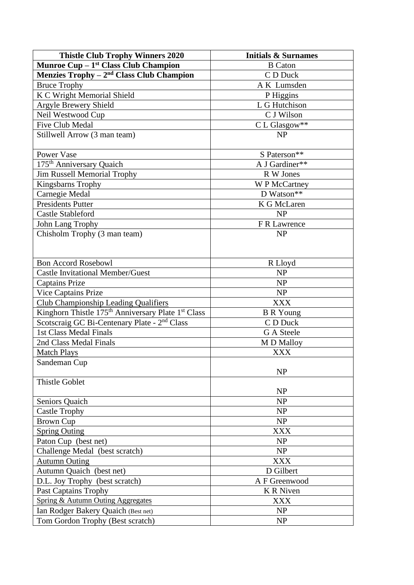| <b>Thistle Club Trophy Winners 2020</b>                                    | <b>Initials &amp; Surnames</b> |  |  |
|----------------------------------------------------------------------------|--------------------------------|--|--|
| Munroe $Cup - 1st Class Club Chapman$                                      | <b>B</b> Caton                 |  |  |
| Menzies $Trophy - 2nd Class Club Chapman$                                  | C D Duck                       |  |  |
| <b>Bruce Trophy</b>                                                        | A K Lumsden                    |  |  |
| K C Wright Memorial Shield                                                 | P Higgins                      |  |  |
| Argyle Brewery Shield                                                      | L G Hutchison                  |  |  |
| Neil Westwood Cup                                                          | C J Wilson                     |  |  |
| <b>Five Club Medal</b>                                                     | C L Glasgow**                  |  |  |
| Stillwell Arrow (3 man team)                                               | <b>NP</b>                      |  |  |
| Power Vase                                                                 | S Paterson**                   |  |  |
| 175 <sup>th</sup> Anniversary Quaich                                       | A J Gardiner**                 |  |  |
| Jim Russell Memorial Trophy                                                | R W Jones                      |  |  |
| Kingsbarns Trophy                                                          | W P McCartney                  |  |  |
| Carnegie Medal                                                             | D Watson**                     |  |  |
| <b>Presidents Putter</b>                                                   | K G McLaren                    |  |  |
| <b>Castle Stableford</b>                                                   | <b>NP</b>                      |  |  |
| John Lang Trophy                                                           | F R Lawrence                   |  |  |
| Chisholm Trophy (3 man team)                                               | <b>NP</b>                      |  |  |
| <b>Bon Accord Rosebowl</b>                                                 | R Lloyd                        |  |  |
| <b>Castle Invitational Member/Guest</b>                                    | <b>NP</b>                      |  |  |
| <b>Captains Prize</b>                                                      | <b>NP</b>                      |  |  |
| Vice Captains Prize                                                        | <b>NP</b>                      |  |  |
| <b>Club Championship Leading Qualifiers</b>                                | <b>XXX</b>                     |  |  |
| Kinghorn Thistle 175 <sup>th</sup> Anniversary Plate 1 <sup>st</sup> Class | <b>B</b> R Young               |  |  |
| Scotscraig GC Bi-Centenary Plate - 2 <sup>nd</sup> Class                   | C D Duck                       |  |  |
| 1st Class Medal Finals                                                     | G A Steele                     |  |  |
| 2nd Class Medal Finals                                                     | <b>MD</b> Malloy               |  |  |
| <b>Match Plays</b>                                                         | <b>XXX</b>                     |  |  |
| Sandeman Cup                                                               | <b>NP</b>                      |  |  |
| <b>Thistle Goblet</b>                                                      | NP                             |  |  |
| Seniors Quaich                                                             | NP                             |  |  |
| <b>Castle Trophy</b>                                                       | NP                             |  |  |
| <b>Brown Cup</b>                                                           | NP                             |  |  |
| <b>Spring Outing</b>                                                       | <b>XXX</b>                     |  |  |
| Paton Cup (best net)                                                       | NP                             |  |  |
| Challenge Medal (best scratch)                                             | NP                             |  |  |
| <b>Autumn Outing</b>                                                       | <b>XXX</b>                     |  |  |
| Autumn Quaich (best net)                                                   | D Gilbert                      |  |  |
| D.L. Joy Trophy (best scratch)                                             | A F Greenwood                  |  |  |
| Past Captains Trophy                                                       | <b>K</b> R Niven               |  |  |
| <b>Spring &amp; Autumn Outing Aggregates</b>                               | <b>XXX</b>                     |  |  |
| Ian Rodger Bakery Quaich (Best net)<br>NP                                  |                                |  |  |
| Tom Gordon Trophy (Best scratch)                                           | NP                             |  |  |